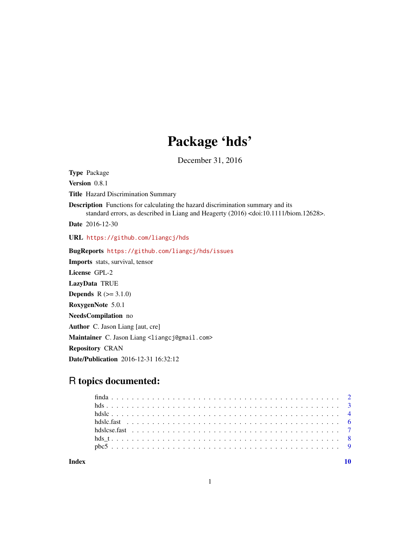## Package 'hds'

December 31, 2016

Type Package Version 0.8.1 Title Hazard Discrimination Summary Description Functions for calculating the hazard discrimination summary and its standard errors, as described in Liang and Heagerty (2016) <doi:10.1111/biom.12628>. Date 2016-12-30 URL <https://github.com/liangcj/hds> BugReports <https://github.com/liangcj/hds/issues> Imports stats, survival, tensor License GPL-2 LazyData TRUE **Depends**  $R (= 3.1.0)$ RoxygenNote 5.0.1 NeedsCompilation no Author C. Jason Liang [aut, cre] Maintainer C. Jason Liang <liangcj@gmail.com> Repository CRAN Date/Publication 2016-12-31 16:32:12

### R topics documented:

 $\blacksquare$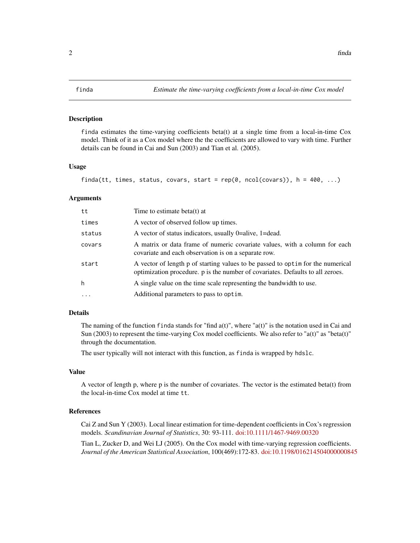#### <span id="page-1-1"></span><span id="page-1-0"></span>Description

finda estimates the time-varying coefficients beta(t) at a single time from a local-in-time Cox model. Think of it as a Cox model where the the coefficients are allowed to vary with time. Further details can be found in Cai and Sun (2003) and Tian et al. (2005).

#### Usage

```
finda(tt, times, status, covars, start = rep(\emptyset, ncol(covars)), h = 400, ...)
```
#### Arguments

| tt       | Time to estimate beta $(t)$ at                                                                                                                                    |
|----------|-------------------------------------------------------------------------------------------------------------------------------------------------------------------|
| times    | A vector of observed follow up times.                                                                                                                             |
| status   | A vector of status indicators, usually 0=alive, 1=dead.                                                                                                           |
| covars   | A matrix or data frame of numeric covariate values, with a column for each<br>covariate and each observation is on a separate row.                                |
| start    | A vector of length p of starting values to be passed to optim for the numerical<br>optimization procedure. p is the number of covariates. Defaults to all zeroes. |
| h        | A single value on the time scale representing the bandwidth to use.                                                                                               |
| $\cdots$ | Additional parameters to pass to optim.                                                                                                                           |

#### Details

The naming of the function finda stands for "find  $a(t)$ ", where " $a(t)$ " is the notation used in Cai and Sun (2003) to represent the time-varying Cox model coefficients. We also refer to " $a(t)$ " as "beta(t)" through the documentation.

The user typically will not interact with this function, as finda is wrapped by hdslc.

#### Value

A vector of length p, where p is the number of covariates. The vector is the estimated beta(t) from the local-in-time Cox model at time tt.

#### References

Cai Z and Sun Y (2003). Local linear estimation for time-dependent coefficients in Cox's regression models. *Scandinavian Journal of Statistics*, 30: 93-111. [doi:10.1111/1467-9469.00320](https://doi.org/10.1111/1467-9469.00320)

Tian L, Zucker D, and Wei LJ (2005). On the Cox model with time-varying regression coefficients. *Journal of the American Statistical Association*, 100(469):172-83. [doi:10.1198/016214504000000845](https://doi.org/10.1198/016214504000000845)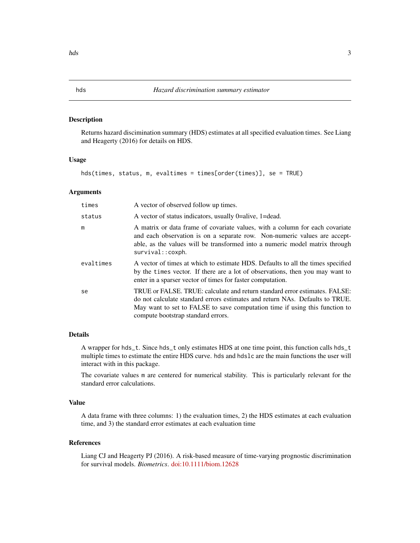#### <span id="page-2-1"></span><span id="page-2-0"></span>Description

Returns hazard discimination summary (HDS) estimates at all specified evaluation times. See Liang and Heagerty (2016) for details on HDS.

#### Usage

```
hds(times, status, m, evaltimes = times[order(times)], se = TRUE)
```
#### Arguments

| times     | A vector of observed follow up times.                                                                                                                                                                                                                                           |
|-----------|---------------------------------------------------------------------------------------------------------------------------------------------------------------------------------------------------------------------------------------------------------------------------------|
| status    | A vector of status indicators, usually 0=alive, 1=dead.                                                                                                                                                                                                                         |
| m         | A matrix or data frame of covariate values, with a column for each covariate<br>and each observation is on a separate row. Non-numeric values are accept-<br>able, as the values will be transformed into a numeric model matrix through<br>survival:coxph.                     |
| evaltimes | A vector of times at which to estimate HDS. Defaults to all the times specified<br>by the times vector. If there are a lot of observations, then you may want to<br>enter in a sparser vector of times for faster computation.                                                  |
| se        | TRUE or FALSE. TRUE: calculate and return standard error estimates. FALSE:<br>do not calculate standard errors estimates and return NAs. Defaults to TRUE.<br>May want to set to FALSE to save computation time if using this function to<br>compute bootstrap standard errors. |

#### Details

A wrapper for hds\_t. Since hds\_t only estimates HDS at one time point, this function calls hds\_t multiple times to estimate the entire HDS curve. hds and hdslc are the main functions the user will interact with in this package.

The covariate values m are centered for numerical stability. This is particularly relevant for the standard error calculations.

#### Value

A data frame with three columns: 1) the evaluation times, 2) the HDS estimates at each evaluation time, and 3) the standard error estimates at each evaluation time

#### References

Liang CJ and Heagerty PJ (2016). A risk-based measure of time-varying prognostic discrimination for survival models. *Biometrics*. [doi:10.1111/biom.12628](https://doi.org/10.1111/biom.12628)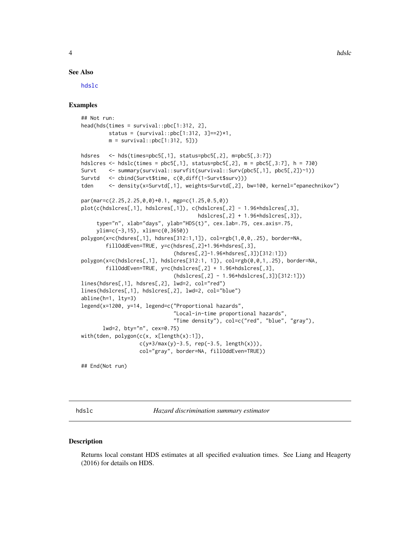#### See Also

[hdslc](#page-3-1)

### Examples

```
## Not run:
head(hds(times = survival::pbc[1:312, 2],
         status = (survival::pbc[1:312, 3]=2)*1,
        m = survival::pbc[1:312, 5]))
hdsres <- hds(times=pbc5[,1], status=pbc5[,2], m=pbc5[,3:7])
hdslcres \leq hdslc(times = pbc5[,1], status=pbc5[,2], m = pbc5[,3:7], h = 730)
Survt <- summary(survival::survfit(survival::Surv(pbc5[,1], pbc5[,2])~1))
Survtd <- cbind(Survt$time, c(0,diff(1-Survt$surv)))
tden <- density(x=Survtd[,1], weights=Survtd[,2], bw=100, kernel="epanechnikov")
par(mar=c(2.25,2.25,0,0)+0.1, mgp=c(1.25,0.5,0))
plot(c(hdslcres[,1], hdslcres[,1]), c(hdslcres[,2] - 1.96*hdslcres[,3],
                                      hdslcres[,2] + 1.96*hdslcres[,3]),
     type="n", xlab="days", ylab="HDS(t)", cex.lab=.75, cex.axis=.75,
     ylim=c(-3,15), xlim=c(0,3650))
polygon(x=c(hdsres[,1], hdsres[312:1,1]), col=rgb(1,0,0,.25), border=NA,
        fillOddEven=TRUE, y=c(hdsres[,2]+1.96*hdsres[,3],
                              (hdsres[,2]-1.96*hdsres[,3])[312:1]))
polygon(x=c(hdslcres[,1], hdslcres[312:1, 1]), col=rgb(0,0,1,.25), border=NA,
        fillOddEven=TRUE, y=c(hdslcres[,2] + 1.96*hdslcres[,3],
                              (hdslcres[,2] - 1.96*hdslcres[,3])[312:1]))
lines(hdsres[,1], hdsres[,2], lwd=2, col="red")
lines(hdslcres[,1], hdslcres[,2], lwd=2, col="blue")
abline(h=1, lty=3)
legend(x=1200, y=14, legend=c("Proportional hazards",
                              "Local-in-time proportional hazards",
                              "Time density"), col=c("red", "blue", "gray"),
      lwd=2, bty="n", cex=0.75)
with(tden, polygon(c(x, x[length(x):1]),
                   c(y*3/max(y)-3.5, rep(-3.5, length(x))),col="gray", border=NA, fillOddEven=TRUE))
```

```
## End(Not run)
```
<span id="page-3-1"></span>

hdslc *Hazard discrimination summary estimator*

#### Description

Returns local constant HDS estimates at all specified evaluation times. See Liang and Heagerty (2016) for details on HDS.

<span id="page-3-0"></span>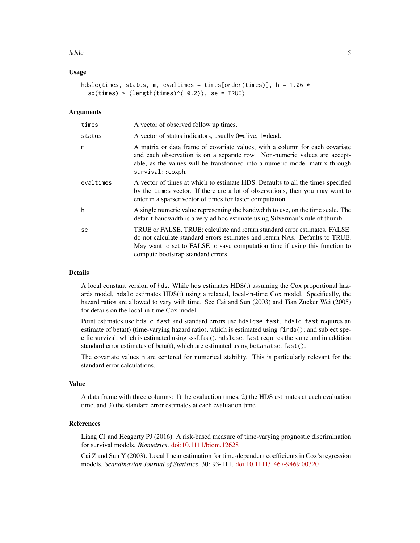#### hdslc 5

#### Usage

```
hdslc(times, status, m, evaltimes = times[order(times)], h = 1.06 *
  sd(times) * (length(times)^*(-0.2)), se = TRUE)
```
#### Arguments

| times     | A vector of observed follow up times.                                                                                                                                                                                                                                           |
|-----------|---------------------------------------------------------------------------------------------------------------------------------------------------------------------------------------------------------------------------------------------------------------------------------|
| status    | A vector of status indicators, usually 0=alive, 1=dead.                                                                                                                                                                                                                         |
| m         | A matrix or data frame of covariate values, with a column for each covariate<br>and each observation is on a separate row. Non-numeric values are accept-<br>able, as the values will be transformed into a numeric model matrix through<br>survival::coxph.                    |
| evaltimes | A vector of times at which to estimate HDS. Defaults to all the times specified<br>by the times vector. If there are a lot of observations, then you may want to<br>enter in a sparser vector of times for faster computation.                                                  |
| h         | A single numeric value representing the bandwidth to use, on the time scale. The<br>default bandwidth is a very ad hoc estimate using Silverman's rule of thumb                                                                                                                 |
| se        | TRUE or FALSE. TRUE: calculate and return standard error estimates. FALSE:<br>do not calculate standard errors estimates and return NAs. Defaults to TRUE.<br>May want to set to FALSE to save computation time if using this function to<br>compute bootstrap standard errors. |

#### Details

A local constant version of hds. While hds estimates HDS(t) assuming the Cox proportional hazards model, hdslc estimates HDS(t) using a relaxed, local-in-time Cox model. Specifically, the hazard ratios are allowed to vary with time. See Cai and Sun (2003) and Tian Zucker Wei (2005) for details on the local-in-time Cox model.

Point estimates use hdslc.fast and standard errors use hdslcse.fast. hdslc.fast requires an estimate of beta(t) (time-varying hazard ratio), which is estimated using finda(); and subject specific survival, which is estimated using sssf.fast(). hdslcse.fast requires the same and in addition standard error estimates of beta(t), which are estimated using betahatse.fast().

The covariate values m are centered for numerical stability. This is particularly relevant for the standard error calculations.

#### Value

A data frame with three columns: 1) the evaluation times, 2) the HDS estimates at each evaluation time, and 3) the standard error estimates at each evaluation time

#### References

Liang CJ and Heagerty PJ (2016). A risk-based measure of time-varying prognostic discrimination for survival models. *Biometrics*. [doi:10.1111/biom.12628](https://doi.org/10.1111/biom.12628)

Cai Z and Sun Y (2003). Local linear estimation for time-dependent coefficients in Cox's regression models. *Scandinavian Journal of Statistics*, 30: 93-111. [doi:10.1111/1467-9469.00320](https://doi.org/10.1111/1467-9469.00320)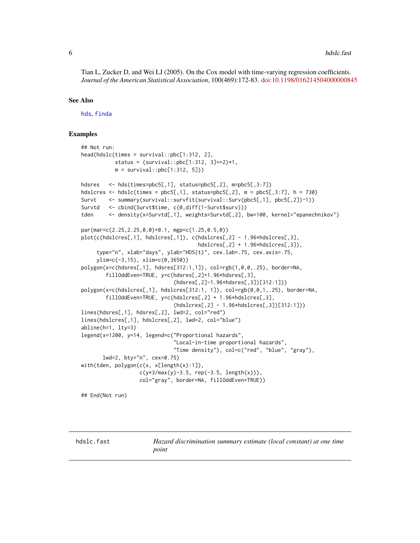<span id="page-5-0"></span>Tian L, Zucker D, and Wei LJ (2005). On the Cox model with time-varying regression coefficients. *Journal of the American Statistical Association*, 100(469):172-83. [doi:10.1198/016214504000000845](https://doi.org/10.1198/016214504000000845)

#### See Also

[hds](#page-2-1), [finda](#page-1-1)

#### Examples

```
## Not run:
head(hdslc(times = survival::pbc[1:312, 2],
           status = (survival::pbc[1:312, 3]==2)*1,
           m = \text{survival::pbc}[1:312, 5])hdsres <- hds(times=pbc5[,1], status=pbc5[,2], m=pbc5[,3:7])
hdslcres <- hdslc(times = pbc5[,1], status=pbc5[,2], m = pbc5[,3:7], h = 730)
Survt <- summary(survival::survfit(survival::Surv(pbc5[,1], pbc5[,2])~1))
Survtd <- cbind(Survt$time, c(0,diff(1-Survt$surv)))
tden <- density(x=Survtd[,1], weights=Survtd[,2], bw=100, kernel="epanechnikov")
par(mar=c(2.25,2.25,0,0)+0.1, mgp=c(1.25,0.5,0))
plot(c(hdslcres[,1], hdslcres[,1]), c(hdslcres[,2] - 1.96*hdslcres[,3],
                                      hdslcres[,2] + 1.96*hdslcres[,3]),
     type="n", xlab="days", ylab="HDS(t)", cex.lab=.75, cex.axis=.75,
     ylim=c(-3,15), xlim=c(0,3650))
polygon(x=c(hdsres[,1], hdsres[312:1,1]), col=rgb(1,0,0,.25), border=NA,
        fillOddEven=TRUE, y=c(hdsres[,2]+1.96*hdsres[,3],
                              (hdsres[,2]-1.96*hdsres[,3])[312:1]))
polygon(x=c(hdslcres[,1], hdslcres[312:1, 1]), col=rgb(0,0,1,.25), border=NA,
        fillOddEven=TRUE, y=c(hdslcres[,2] + 1.96*hdslcres[,3],
                              (hdslcres[,2] - 1.96*hdslcres[,3])[312:1]))
lines(hdsres[,1], hdsres[,2], lwd=2, col="red")
lines(hdslcres[,1], hdslcres[,2], lwd=2, col="blue")
abline(h=1, lty=3)
legend(x=1200, y=14, legend=c("Proportional hazards",
                              "Local-in-time proportional hazards",
                              "Time density"), col=c("red", "blue", "gray"),
      lwd=2, bty="n", cex=0.75)
with(tden, polygon(c(x, x[length(x):1]),
                   c(y*3/max(y)-3.5, rep(-3.5, length(x))),
                   col="gray", border=NA, fillOddEven=TRUE))
## End(Not run)
```
hdslc.fast *Hazard discrimination summary estimate (local constant) at one time point*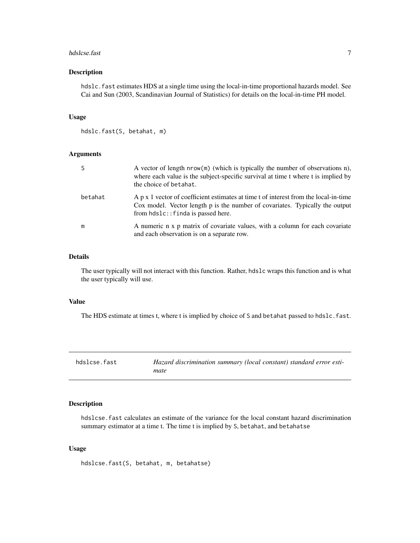#### <span id="page-6-0"></span>hdslcse.fast 7

#### Description

hdslc.fast estimates HDS at a single time using the local-in-time proportional hazards model. See Cai and Sun (2003, Scandinavian Journal of Statistics) for details on the local-in-time PH model.

#### Usage

```
hdslc.fast(S, betahat, m)
```
#### Arguments

| S       | A vector of length $nrow(m)$ (which is typically the number of observations n),<br>where each value is the subject-specific survival at time t where t is implied by<br>the choice of betahat.             |
|---------|------------------------------------------------------------------------------------------------------------------------------------------------------------------------------------------------------------|
| betahat | A p x 1 vector of coefficient estimates at time t of interest from the local-in-time<br>Cox model. Vector length p is the number of covariates. Typically the output<br>from hdslc:: finda is passed here. |
| m       | A numeric n x p matrix of covariate values, with a column for each covariate<br>and each observation is on a separate row.                                                                                 |

#### Details

The user typically will not interact with this function. Rather, hdslc wraps this function and is what the user typically will use.

#### Value

The HDS estimate at times t, where t is implied by choice of S and betahat passed to hdslc.fast.

hdslcse.fast *Hazard discrimination summary (local constant) standard error estimate*

#### Description

hdslcse.fast calculates an estimate of the variance for the local constant hazard discrimination summary estimator at a time t. The time t is implied by S, betahat, and betahatse

#### Usage

hdslcse.fast(S, betahat, m, betahatse)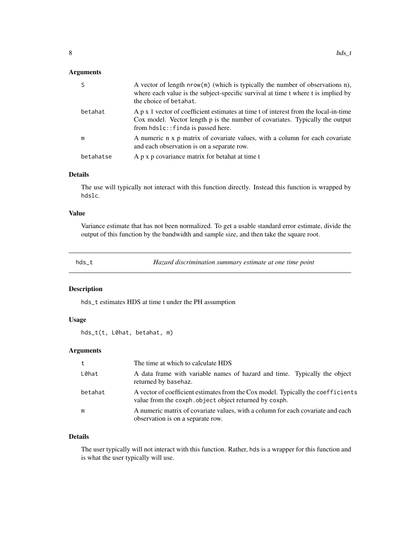#### <span id="page-7-0"></span>Arguments

| -S        | A vector of length $nrow(m)$ (which is typically the number of observations n),<br>where each value is the subject-specific survival at time t where t is implied by<br>the choice of betahat.             |
|-----------|------------------------------------------------------------------------------------------------------------------------------------------------------------------------------------------------------------|
| betahat   | A p x 1 vector of coefficient estimates at time t of interest from the local-in-time<br>Cox model. Vector length p is the number of covariates. Typically the output<br>from hdslc:: finda is passed here. |
| m         | A numeric n x p matrix of covariate values, with a column for each covariate<br>and each observation is on a separate row.                                                                                 |
| betahatse | A p x p covariance matrix for betahat at time t                                                                                                                                                            |

#### Details

The use will typically not interact with this function directly. Instead this function is wrapped by hdslc.

#### Value

Variance estimate that has not been normalized. To get a usable standard error estimate, divide the output of this function by the bandwidth and sample size, and then take the square root.

| Hazard discrimination summary estimate at one time point<br>hds t |  |
|-------------------------------------------------------------------|--|
|-------------------------------------------------------------------|--|

#### Description

hds\_t estimates HDS at time t under the PH assumption

#### Usage

hds\_t(t, L0hat, betahat, m)

#### Arguments

| t       | The time at which to calculate HDS                                                                                                        |
|---------|-------------------------------------------------------------------------------------------------------------------------------------------|
| L0hat   | A data frame with variable names of hazard and time. Typically the object<br>returned by basehaz.                                         |
| betahat | A vector of coefficient estimates from the Cox model. Typically the coefficients<br>value from the coxph object object returned by coxph. |
| m       | A numeric matrix of covariate values, with a column for each covariate and each<br>observation is on a separate row.                      |

### Details

The user typically will not interact with this function. Rather, hds is a wrapper for this function and is what the user typically will use.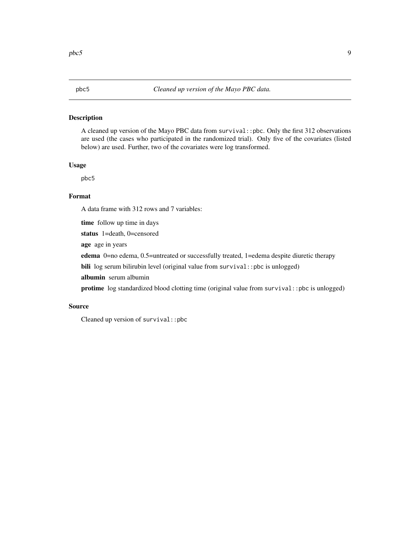#### <span id="page-8-0"></span>Description

A cleaned up version of the Mayo PBC data from survival::pbc. Only the first 312 observations are used (the cases who participated in the randomized trial). Only five of the covariates (listed below) are used. Further, two of the covariates were log transformed.

#### Usage

pbc5

### Format

A data frame with 312 rows and 7 variables:

time follow up time in days

status 1=death, 0=censored

age age in years

edema 0=no edema, 0.5=untreated or successfully treated, 1=edema despite diuretic therapy

bili log serum bilirubin level (original value from survival::pbc is unlogged)

albumin serum albumin

protime log standardized blood clotting time (original value from survival::pbc is unlogged)

#### Source

Cleaned up version of survival::pbc